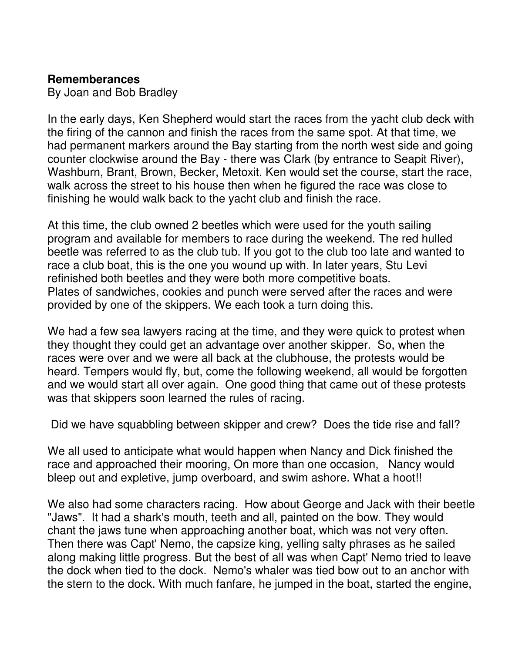## **Rememberances**

By Joan and Bob Bradley

In the early days, Ken Shepherd would start the races from the yacht club deck with the firing of the cannon and finish the races from the same spot. At that time, we had permanent markers around the Bay starting from the north west side and going counter clockwise around the Bay - there was Clark (by entrance to Seapit River), Washburn, Brant, Brown, Becker, Metoxit. Ken would set the course, start the race, walk across the street to his house then when he figured the race was close to finishing he would walk back to the yacht club and finish the race.

At this time, the club owned 2 beetles which were used for the youth sailing program and available for members to race during the weekend. The red hulled beetle was referred to as the club tub. If you got to the club too late and wanted to race a club boat, this is the one you wound up with. In later years, Stu Levi refinished both beetles and they were both more competitive boats. Plates of sandwiches, cookies and punch were served after the races and were provided by one of the skippers. We each took a turn doing this.

We had a few sea lawyers racing at the time, and they were quick to protest when they thought they could get an advantage over another skipper. So, when the races were over and we were all back at the clubhouse, the protests would be heard. Tempers would fly, but, come the following weekend, all would be forgotten and we would start all over again. One good thing that came out of these protests was that skippers soon learned the rules of racing.

Did we have squabbling between skipper and crew? Does the tide rise and fall?

We all used to anticipate what would happen when Nancy and Dick finished the race and approached their mooring, On more than one occasion, Nancy would bleep out and expletive, jump overboard, and swim ashore. What a hoot!!

We also had some characters racing. How about George and Jack with their beetle "Jaws". It had a shark's mouth, teeth and all, painted on the bow. They would chant the jaws tune when approaching another boat, which was not very often. Then there was Capt' Nemo, the capsize king, yelling salty phrases as he sailed along making little progress. But the best of all was when Capt' Nemo tried to leave the dock when tied to the dock. Nemo's whaler was tied bow out to an anchor with the stern to the dock. With much fanfare, he jumped in the boat, started the engine,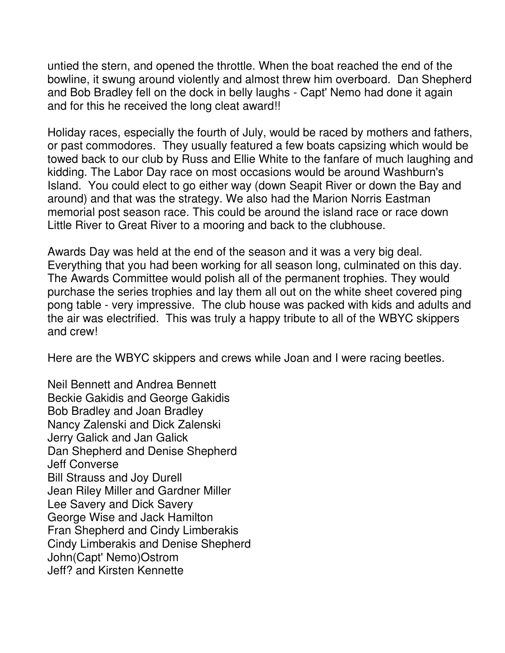untied the stern, and opened the throttle. When the boat reached the end of the bowline, it swung around violently and almost threw him overboard. Dan Shepherd and Bob Bradley fell on the dock in belly laughs - Capt' Nemo had done it again and for this he received the long cleat award!!

Holiday races, especially the fourth of July, would be raced by mothers and fathers, or past commodores. They usually featured a few boats capsizing which would be towed back to our club by Russ and Ellie White to the fanfare of much laughing and kidding. The Labor Day race on most occasions would be around Washburn's Island. You could elect to go either way (down Seapit River or down the Bay and around) and that was the strategy. We also had the Marion Norris Eastman memorial post season race. This could be around the island race or race down Little River to Great River to a mooring and back to the clubhouse.

Awards Day was held at the end of the season and it was a very big deal. Everything that you had been working for all season long, culminated on this day. The Awards Committee would polish all of the permanent trophies. They would purchase the series trophies and lay them all out on the white sheet covered ping pong table - very impressive. The club house was packed with kids and adults and the air was electrified. This was truly a happy tribute to all of the WBYC skippers and crew!

Here are the WBYC skippers and crews while Joan and I were racing beetles.

Neil Bennett and Andrea Bennett Beckie Gakidis and George Gakidis Bob Bradley and Joan Bradley Nancy Zalenski and Dick Zalenski Jerry Galick and Jan Galick Dan Shepherd and Denise Shepherd Jeff Converse Bill Strauss and Joy Durell Jean Riley Miller and Gardner Miller Lee Savery and Dick Savery George Wise and Jack Hamilton Fran Shepherd and Cindy Limberakis Cindy Limberakis and Denise Shepherd John(Capt' Nemo)Ostrom Jeff? and Kirsten Kennette